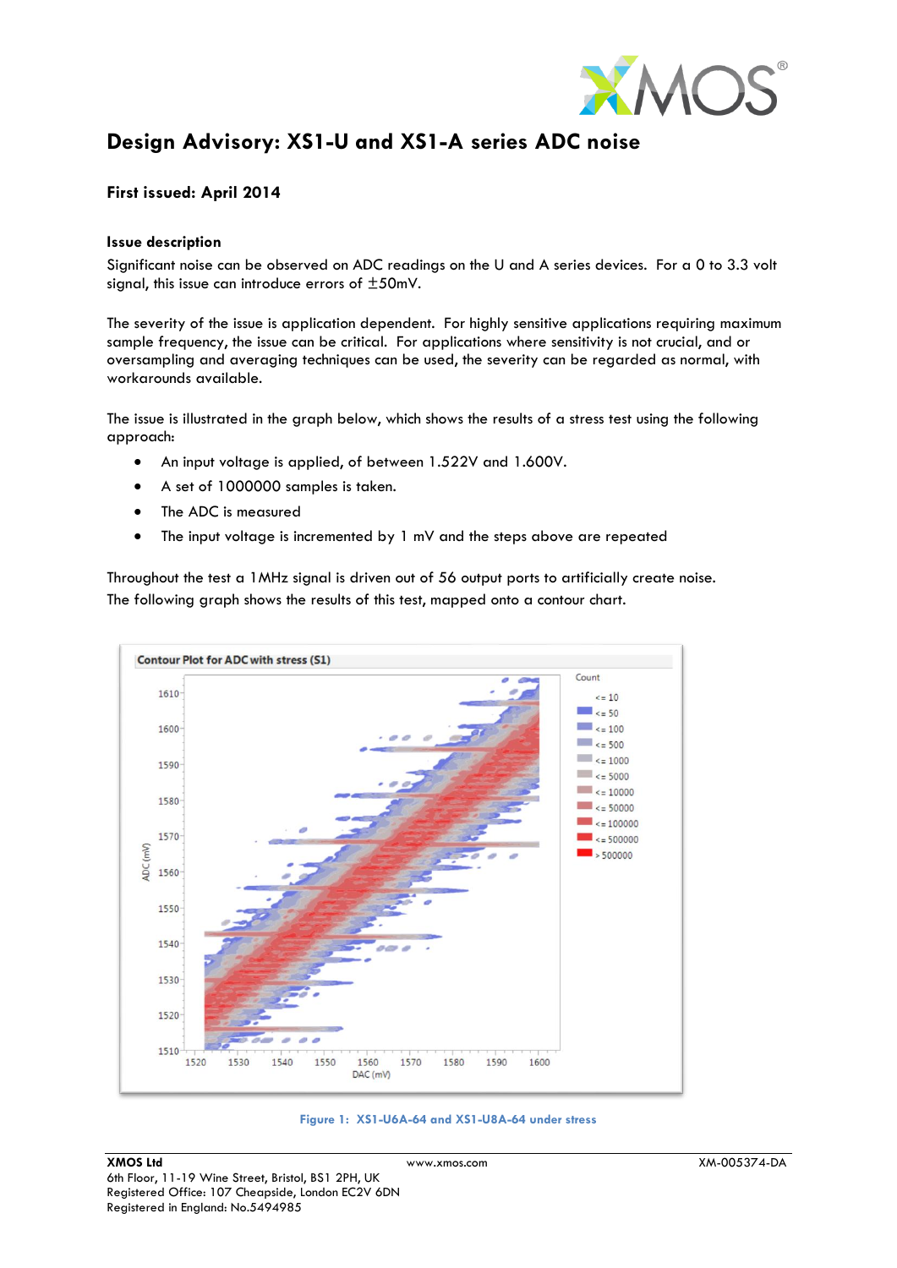

# **Design Advisory: XS1-U and XS1-A series ADC noise**

# **First issued: April 2014**

### **Issue description**

Significant noise can be observed on ADC readings on the U and A series devices. For a 0 to 3.3 volt signal, this issue can introduce errors of ±50mV.

The severity of the issue is application dependent. For highly sensitive applications requiring maximum sample frequency, the issue can be critical. For applications where sensitivity is not crucial, and or oversampling and averaging techniques can be used, the severity can be regarded as normal, with workarounds available.

The issue is illustrated in the graph below, which shows the results of a stress test using the following approach:

- An input voltage is applied, of between 1.522V and 1.600V.
- A set of 1000000 samples is taken.
- The ADC is measured
- The input voltage is incremented by 1 mV and the steps above are repeated

Throughout the test a 1MHz signal is driven out of 56 output ports to artificially create noise. The following graph shows the results of this test, mapped onto a contour chart.



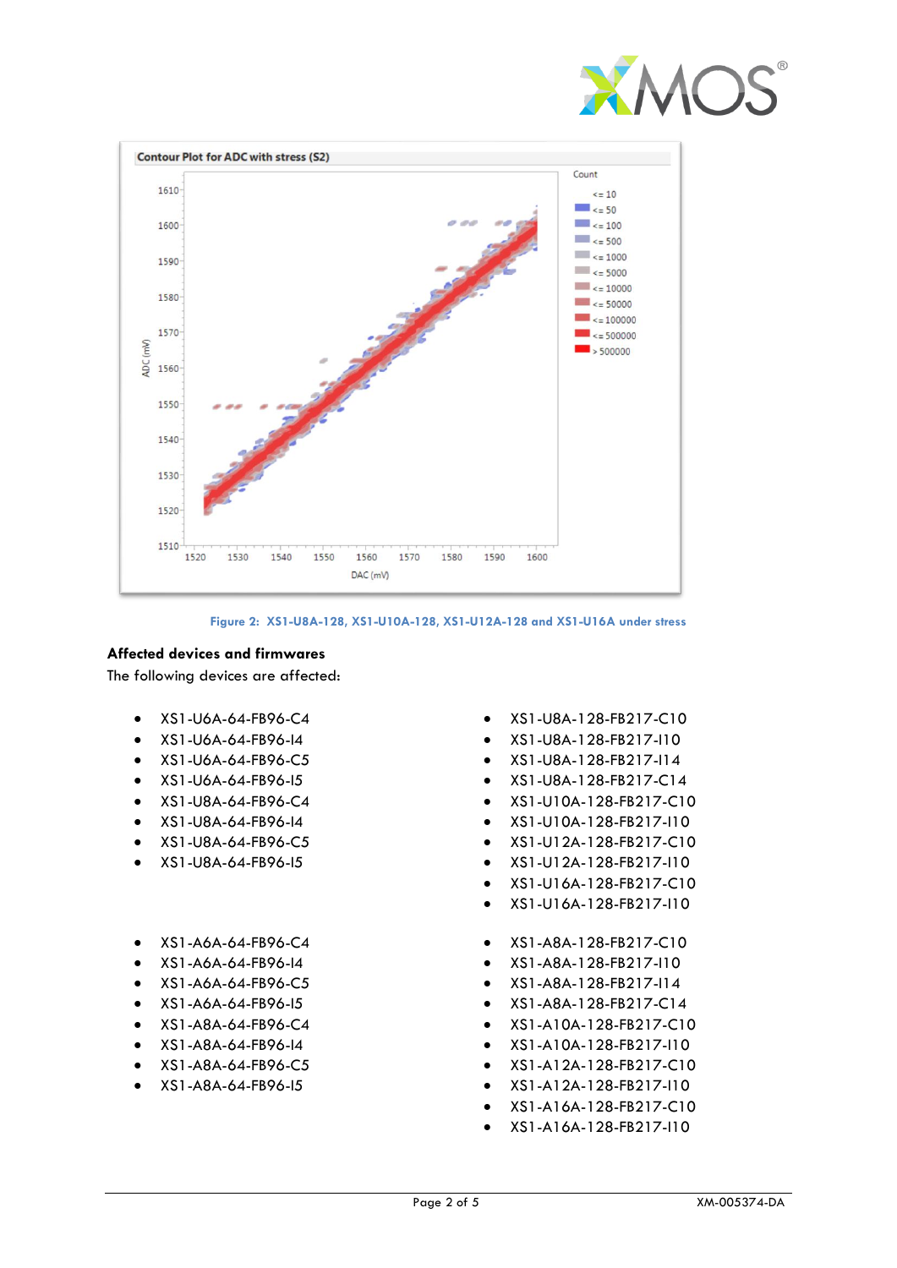



#### **Figure 2: XS1-U8A-128, XS1-U10A-128, XS1-U12A-128 and XS1-U16A under stress**

# **Affected devices and firmwares**

The following devices are affected:

- XS1-U6A-64-FB96-C4
- XS1-U6A-64-FB96-I4
- XS1-U6A-64-FB96-C5
- XS1-U6A-64-FB96-I5
- XS1-U8A-64-FB96-C4
- XS1-U8A-64-FB96-I4
- XS1-U8A-64-FB96-C5
- XS1-U8A-64-FB96-I5
- XS1-A6A-64-FB96-C4
- XS1-A6A-64-FB96-I4
- XS1-A6A-64-FB96-C5
- XS1-A6A-64-FB96-I5
- XS1-A8A-64-FB96-C4
- XS1-A8A-64-FB96-I4
- XS1-A8A-64-FB96-C5
- XS1-A8A-64-FB96-I5
- XS1-U8A-128-FB217-C10
- XS1-U8A-128-FB217-I10
- XS1-U8A-128-FB217-I14
- XS1-U8A-128-FB217-C14
- XS1-U10A-128-FB217-C10
- XS1-U10A-128-FB217-I10
- XS1-U12A-128-FB217-C10
- XS1-U12A-128-FB217-I10
- XS1-U16A-128-FB217-C10
- XS1-U16A-128-FB217-I10
- XS1-A8A-128-FB217-C10
- XS1-A8A-128-FB217-I10
- XS1-A8A-128-FB217-I14
- XS1-A8A-128-FB217-C14
- XS1-A10A-128-FB217-C10
- XS1-A10A-128-FB217-I10
- XS1-A12A-128-FB217-C10
- XS1-A12A-128-FB217-I10
- XS1-A16A-128-FB217-C10
- XS1-A16A-128-FB217-I10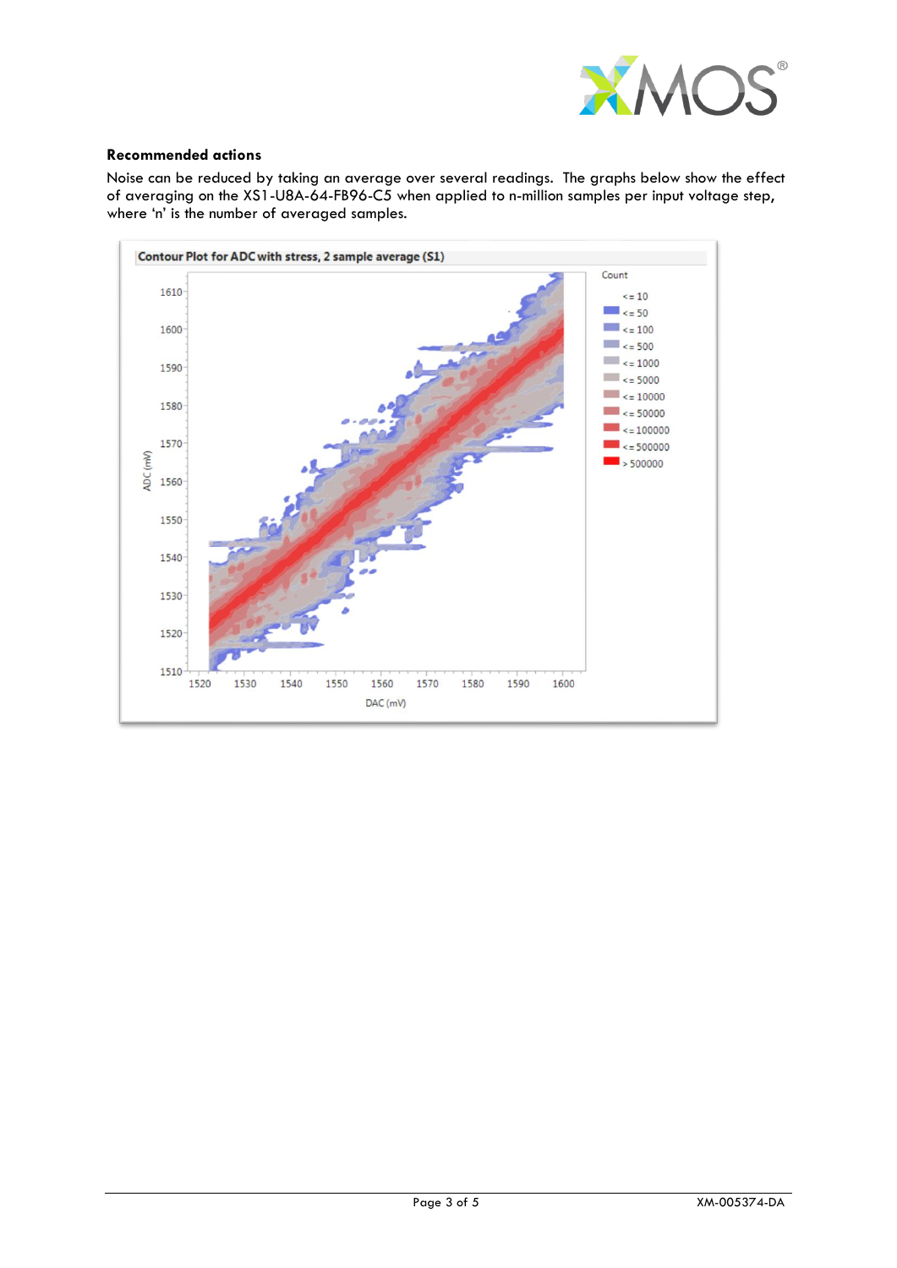

## **Recommended actions**

Noise can be reduced by taking an average over several readings. The graphs below show the effect of averaging on the XS1-U8A-64-FB96-C5 when applied to n-million samples per input voltage step, where 'n' is the number of averaged samples.

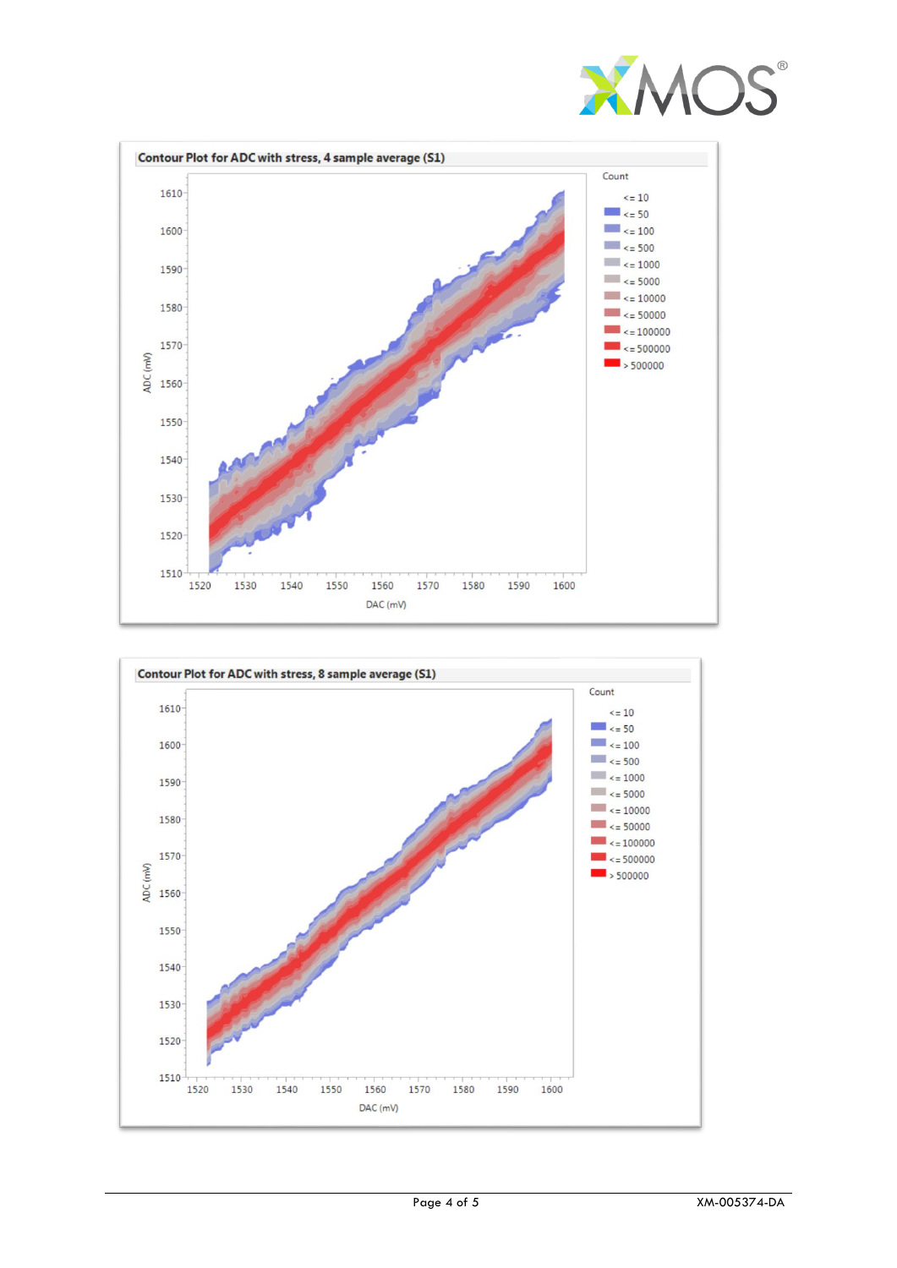